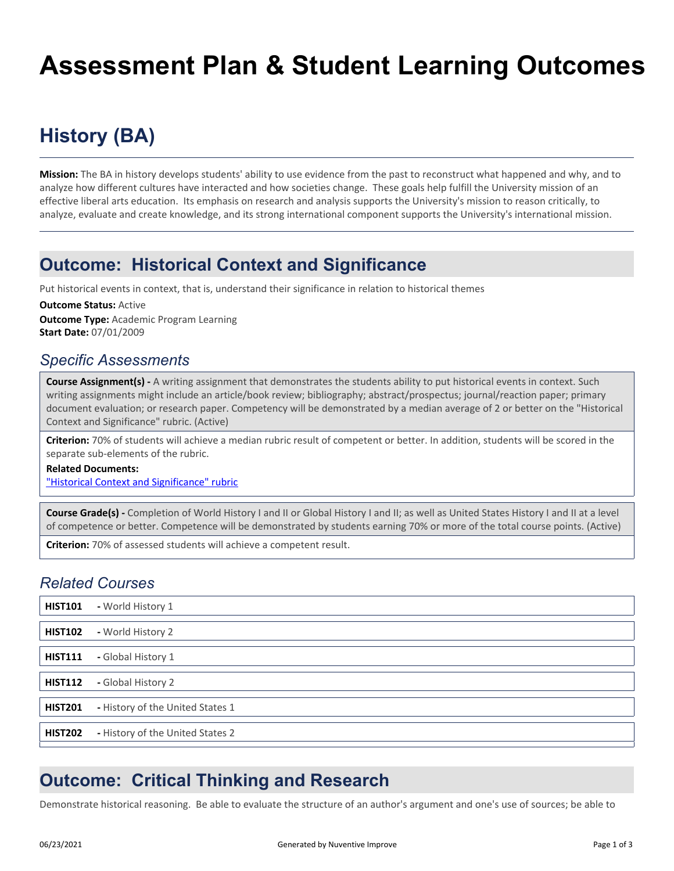# **Assessment Plan & Student Learning Outcomes**

## **History (BA)**

**Mission:** The BA in history develops students' ability to use evidence from the past to reconstruct what happened and why, and to analyze how different cultures have interacted and how societies change. These goals help fulfill the University mission of an effective liberal arts education. Its emphasis on research and analysis supports the University's mission to reason critically, to analyze, evaluate and create knowledge, and its strong international component supports the University's international mission.

### **Outcome: Historical Context and Significance**

Put historical events in context, that is, understand their significance in relation to historical themes

**Outcome Type:** Academic Program Learning **Start Date:** 07/01/2009 **Outcome Status:** Active

#### *Specific Assessments*

**Course Assignment(s) -** A writing assignment that demonstrates the students ability to put historical events in context. Such writing assignments might include an article/book review; bibliography; abstract/prospectus; journal/reaction paper; primary document evaluation; or research paper. Competency will be demonstrated by a median average of 2 or better on the "Historical Context and Significance" rubric. (Active)

**Criterion:** 70% of students will achieve a median rubric result of competent or better. In addition, students will be scored in the separate sub-elements of the rubric.

#### **Related Documents:**

["Historical Context and Significance" rubric](https://lhuptracdat.passhe.edu:443/tracdat/viewDocument?y=5NGUO1zE1jvg)

**Course Grade(s) -** Completion of World History I and II or Global History I and II; as well as United States History I and II at a level of competence or better. Competence will be demonstrated by students earning 70% or more of the total course points. (Active)

**Criterion:** 70% of assessed students will achieve a competent result.

#### *Related Courses*

| <b>HIST101</b> | - World History 1                |
|----------------|----------------------------------|
| <b>HIST102</b> | - World History 2                |
| <b>HIST111</b> | - Global History 1               |
| <b>HIST112</b> | - Global History 2               |
| <b>HIST201</b> | - History of the United States 1 |
| <b>HIST202</b> | - History of the United States 2 |

## **Outcome: Critical Thinking and Research**

Demonstrate historical reasoning. Be able to evaluate the structure of an author's argument and one's use of sources; be able to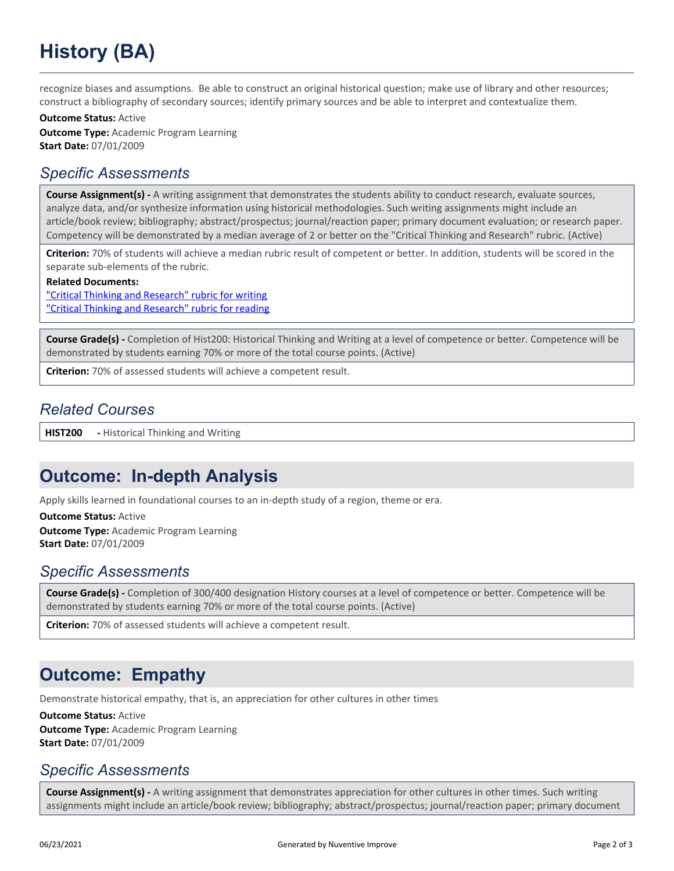# **History (BA)**

recognize biases and assumptions. Be able to construct an original historical question; make use of library and other resources; construct a bibliography of secondary sources; identify primary sources and be able to interpret and contextualize them.

**Outcome Type:** Academic Program Learning **Start Date:** 07/01/2009 **Outcome Status:** Active

#### *Specific Assessments*

**Course Assignment(s) -** A writing assignment that demonstrates the students ability to conduct research, evaluate sources, analyze data, and/or synthesize information using historical methodologies. Such writing assignments might include an article/book review; bibliography; abstract/prospectus; journal/reaction paper; primary document evaluation; or research paper. Competency will be demonstrated by a median average of 2 or better on the "Critical Thinking and Research" rubric. (Active)

**Criterion:** 70% of students will achieve a median rubric result of competent or better. In addition, students will be scored in the separate sub-elements of the rubric.

**Related Documents:**

["Critical Thinking and Research" rubric for writing](https://lhuptracdat.passhe.edu:443/tracdat/viewDocument?y=qz7Gt4doJSLF) ["Critical Thinking and Research" rubric for reading](https://lhuptracdat.passhe.edu:443/tracdat/viewDocument?y=3eiiyRvADxMl)

**Course Grade(s) -** Completion of Hist200: Historical Thinking and Writing at a level of competence or better. Competence will be demonstrated by students earning 70% or more of the total course points. (Active)

**Criterion:** 70% of assessed students will achieve a competent result.

#### *Related Courses*

**HIST200 -** Historical Thinking and Writing

## **Outcome: In-depth Analysis**

Apply skills learned in foundational courses to an in-depth study of a region, theme or era.

**Outcome Type:** Academic Program Learning **Start Date:** 07/01/2009 **Outcome Status:** Active

### *Specific Assessments*

**Course Grade(s) -** Completion of 300/400 designation History courses at a level of competence or better. Competence will be demonstrated by students earning 70% or more of the total course points. (Active)

**Criterion:** 70% of assessed students will achieve a competent result.

## **Outcome: Empathy**

Demonstrate historical empathy, that is, an appreciation for other cultures in other times

**Outcome Type:** Academic Program Learning **Start Date:** 07/01/2009 **Outcome Status:** Active

### *Specific Assessments*

**Course Assignment(s) -** A writing assignment that demonstrates appreciation for other cultures in other times. Such writing assignments might include an article/book review; bibliography; abstract/prospectus; journal/reaction paper; primary document